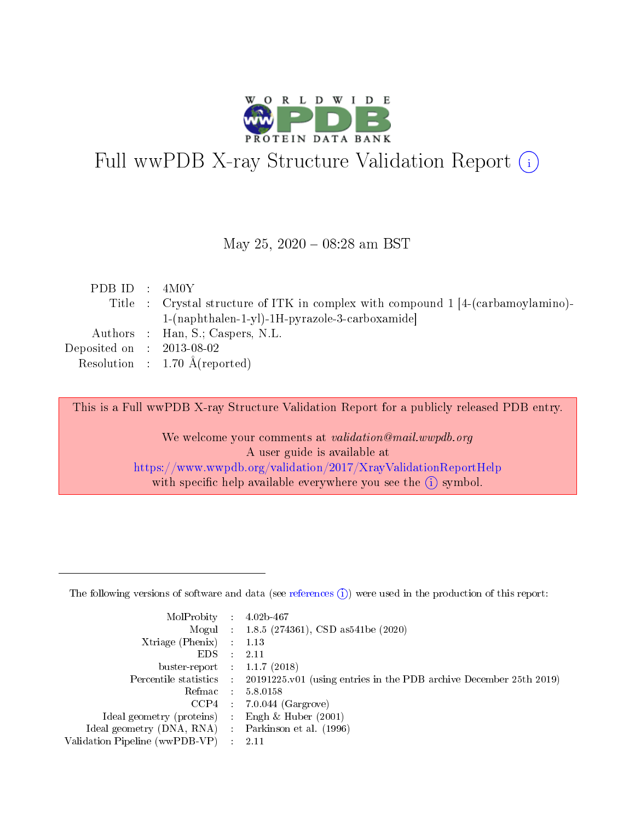

# Full wwPDB X-ray Structure Validation Report (i)

#### May 25, 2020 - 08:28 am BST

|  | PDB ID : $4M0Y$                                                                  |
|--|----------------------------------------------------------------------------------|
|  | Title : Crystal structure of ITK in complex with compound 1 [4-(carbamoylamino)- |
|  | $1-(naphthalen-1-yl)-1H-pyrazole-3-carboxamide)$                                 |
|  | Authors : Han, S.; Caspers, N.L.                                                 |
|  | Deposited on : $2013-08-02$                                                      |
|  | Resolution : $1.70 \text{ Å}$ (reported)                                         |

This is a Full wwPDB X-ray Structure Validation Report for a publicly released PDB entry.

We welcome your comments at validation@mail.wwpdb.org A user guide is available at <https://www.wwpdb.org/validation/2017/XrayValidationReportHelp> with specific help available everywhere you see the  $(i)$  symbol.

The following versions of software and data (see [references](https://www.wwpdb.org/validation/2017/XrayValidationReportHelp#references)  $(1)$ ) were used in the production of this report:

| MolProbity                     | $\mathcal{L}_{\rm{max}}$ | $4.02b - 467$                                                                |
|--------------------------------|--------------------------|------------------------------------------------------------------------------|
|                                |                          | Mogul : $1.8.5$ (274361), CSD as 541be (2020)                                |
| $X$ triage (Phenix) :          |                          | 1.13                                                                         |
| EDS.                           |                          | 2.11                                                                         |
| buster-report : $1.1.7$ (2018) |                          |                                                                              |
| Percentile statistics :        |                          | $20191225 \text{ v}01$ (using entries in the PDB archive December 25th 2019) |
| Refmac                         |                          | 5.8.0158                                                                     |
| $CCP4$ :                       |                          | $7.0.044$ (Gargrove)                                                         |
| Ideal geometry (proteins) :    |                          | Engh $\&$ Huber (2001)                                                       |
| Ideal geometry (DNA, RNA) :    |                          | Parkinson et al. (1996)                                                      |
| Validation Pipeline (wwPDB-VP) | $\mathcal{L}$            | -2.11                                                                        |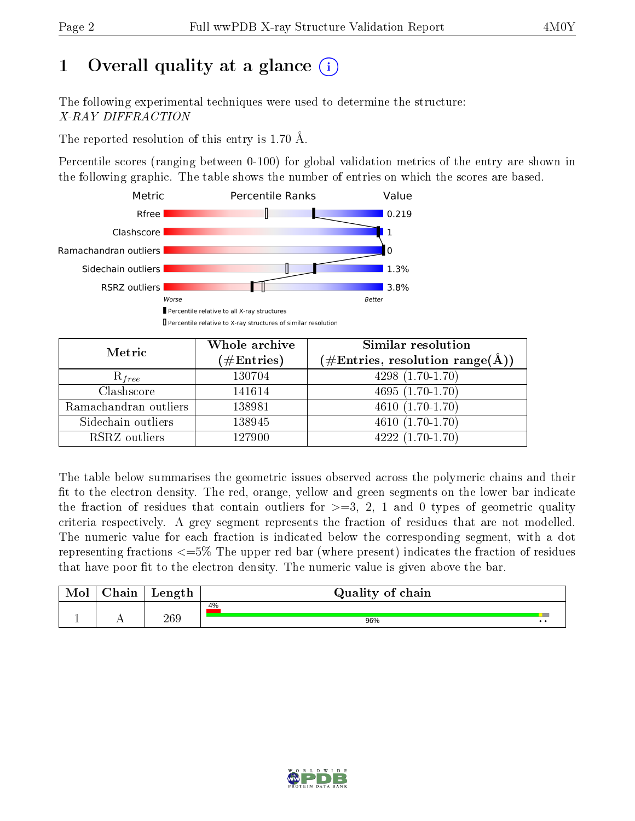# 1 [O](https://www.wwpdb.org/validation/2017/XrayValidationReportHelp#overall_quality)verall quality at a glance  $(i)$

The following experimental techniques were used to determine the structure: X-RAY DIFFRACTION

The reported resolution of this entry is 1.70 Å.

Percentile scores (ranging between 0-100) for global validation metrics of the entry are shown in the following graphic. The table shows the number of entries on which the scores are based.



| Metric                | Whole archive<br>$(\#\mathrm{Entries})$ | Similar resolution<br>$(\#\text{Entries}, \text{resolution range}(\text{\AA}))$ |
|-----------------------|-----------------------------------------|---------------------------------------------------------------------------------|
| $R_{free}$            | 130704                                  | $4298(1.70-1.70)$                                                               |
| Clashscore            | 141614                                  | $4695(1.70-1.70)$                                                               |
| Ramachandran outliers | 138981                                  | $\overline{4610(1.70-1.70)}$                                                    |
| Sidechain outliers    | 138945                                  | $4610(1.70-1.70)$                                                               |
| RSRZ outliers         | 127900                                  | $4222(1.70-1.70)$                                                               |

The table below summarises the geometric issues observed across the polymeric chains and their fit to the electron density. The red, orange, yellow and green segments on the lower bar indicate the fraction of residues that contain outliers for  $>=3, 2, 1$  and 0 types of geometric quality criteria respectively. A grey segment represents the fraction of residues that are not modelled. The numeric value for each fraction is indicated below the corresponding segment, with a dot representing fractions  $\epsilon=5\%$  The upper red bar (where present) indicates the fraction of residues that have poor fit to the electron density. The numeric value is given above the bar.

| Mol | $\sim$ $\sim$<br>hain | Length | Quality of chain |
|-----|-----------------------|--------|------------------|
| л.  | . .                   | 269    | 4%<br>96%<br>. . |

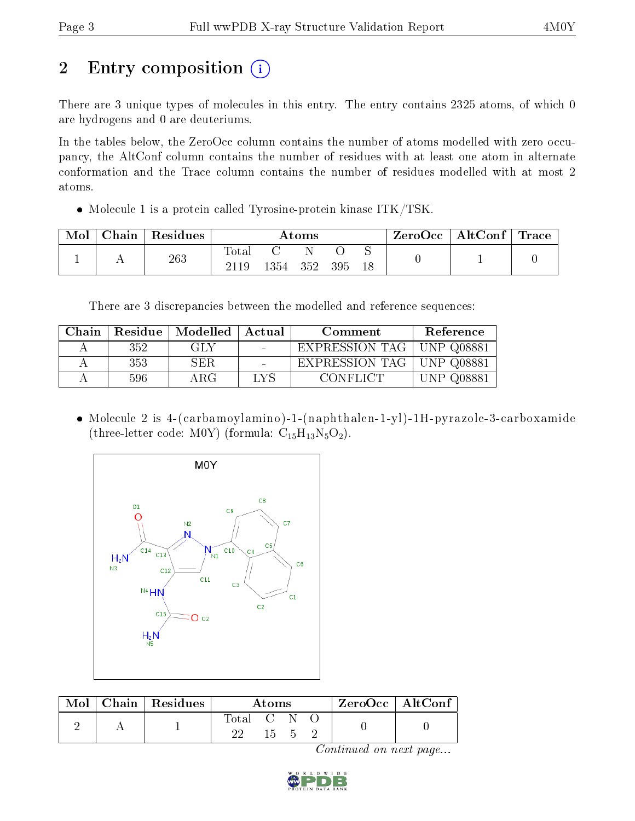# 2 Entry composition (i)

There are 3 unique types of molecules in this entry. The entry contains 2325 atoms, of which 0 are hydrogens and 0 are deuteriums.

In the tables below, the ZeroOcc column contains the number of atoms modelled with zero occupancy, the AltConf column contains the number of residues with at least one atom in alternate conformation and the Trace column contains the number of residues modelled with at most 2 atoms.

• Molecule 1 is a protein called Tyrosine-protein kinase ITK/TSK.

| Mol | Chain | Residues | $\rm{Atoms}$  |      |     |     | ZeroOcc | $\mid$ AltConf $\mid$ Trace |  |  |
|-----|-------|----------|---------------|------|-----|-----|---------|-----------------------------|--|--|
|     |       | 263      | Totar<br>2119 | 1354 | 352 | 395 | 18      |                             |  |  |

There are 3 discrepancies between the modelled and reference sequences:

| Chain |     | Residue   Modelled   Actual |      | Comment        | Reference       |
|-------|-----|-----------------------------|------|----------------|-----------------|
|       | 352 | GLY                         |      | EXPRESSION TAG | UNP $Q08881$    |
|       | 353 | SER.                        |      | EXPRESSION TAG | UNP 008881      |
|       | 596 | ΑRG                         | LYS. | CONFLICT -     | Q08881<br>IN P. |

 Molecule 2 is 4-(carbamoylamino)-1-(naphthalen-1-yl)-1H-pyrazole-3-carboxamide (three-letter code: M0Y) (formula:  $C_{15}H_{13}N_5O_2$ ).



|  | $\overline{\text{Mol}}$ Chain   Residues $\overline{\ }$ | Atoms       |     |  |  | $\rm ZeroOcc \mid AltConf$ |
|--|----------------------------------------------------------|-------------|-----|--|--|----------------------------|
|  |                                                          | Total C N O | 155 |  |  |                            |

Continued on next page...

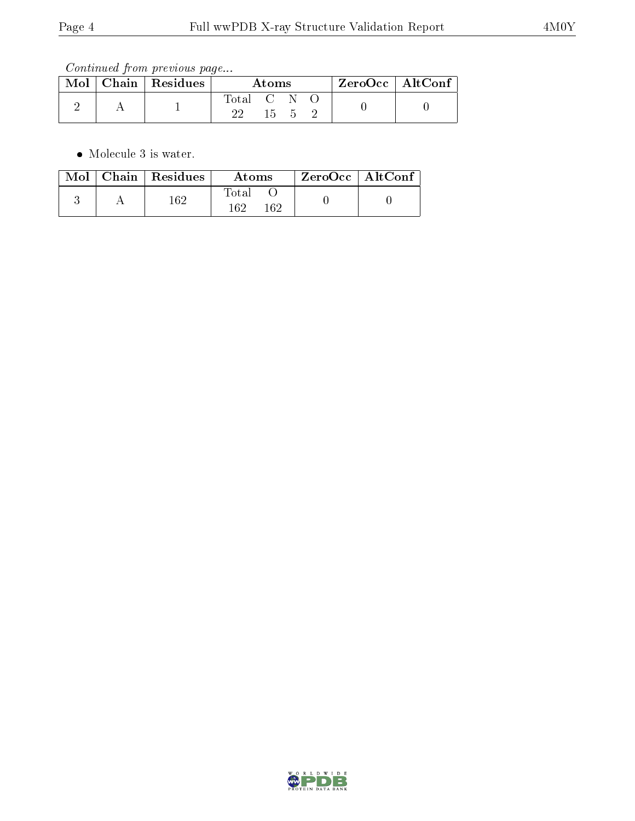Continued from previous page...

|  | $\mid$ Mol $\mid$ Chain $\mid$ Residues | Atoms           |  |  |  | $ZeroOcc \mid AltConf$ |  |
|--|-----------------------------------------|-----------------|--|--|--|------------------------|--|
|  |                                         | Total C N<br>າາ |  |  |  |                        |  |
|  |                                         |                 |  |  |  |                        |  |

• Molecule 3 is water.

|  | $Mol$   Chain   Residues | Atoms               | ZeroOcc   AltConf |  |
|--|--------------------------|---------------------|-------------------|--|
|  | 162                      | Total<br>162<br>162 |                   |  |

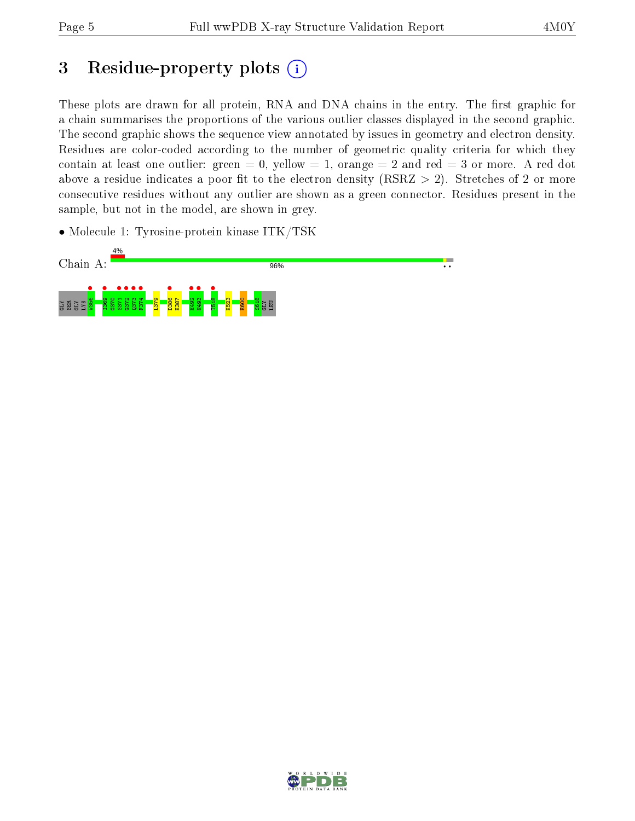## 3 Residue-property plots  $(i)$

These plots are drawn for all protein, RNA and DNA chains in the entry. The first graphic for a chain summarises the proportions of the various outlier classes displayed in the second graphic. The second graphic shows the sequence view annotated by issues in geometry and electron density. Residues are color-coded according to the number of geometric quality criteria for which they contain at least one outlier: green  $= 0$ , yellow  $= 1$ , orange  $= 2$  and red  $= 3$  or more. A red dot above a residue indicates a poor fit to the electron density (RSRZ  $> 2$ ). Stretches of 2 or more consecutive residues without any outlier are shown as a green connector. Residues present in the sample, but not in the model, are shown in grey.

• Molecule 1: Tyrosine-protein kinase ITK/TSK



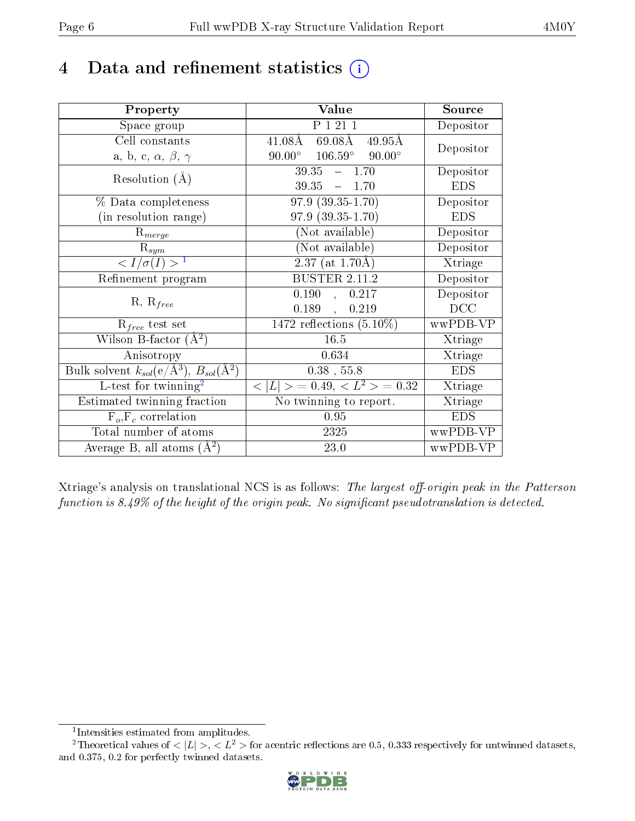## 4 Data and refinement statistics  $(i)$

| Property                                                         | Value                                             | Source     |
|------------------------------------------------------------------|---------------------------------------------------|------------|
| Space group                                                      | P 1 21 1                                          | Depositor  |
| Cell constants                                                   | $41.08\rm\AA$<br>69.08Å<br>$49.95\text{\AA}$      | Depositor  |
| a, b, c, $\alpha$ , $\beta$ , $\gamma$                           | $90.00^{\circ}$ $106.59^{\circ}$<br>$90.00^\circ$ |            |
| Resolution $(A)$                                                 | $39.35 - 1.70$                                    | Depositor  |
|                                                                  | $39.35 - 1.70$                                    | <b>EDS</b> |
| % Data completeness                                              | $97.9(39.35-1.70)$                                | Depositor  |
| (in resolution range)                                            | $97.9(39.35-1.70)$                                | <b>EDS</b> |
| $R_{merge}$                                                      | (Not available)                                   | Depositor  |
| $\mathrm{R}_{sym}$                                               | (Not available)                                   | Depositor  |
| $\langle I/\sigma(I) \rangle^{-1}$                               | $2.37$ (at 1.70Å)                                 | Xtriage    |
| Refinement program                                               | <b>BUSTER 2.11.2</b>                              | Depositor  |
| $R, R_{free}$                                                    | 0.190, 0.217                                      | Depositor  |
|                                                                  | 0.189,<br>0.219                                   | DCC        |
| $\mathcal{R}_{free}$ test set                                    | $1472$ reflections $(5.10\%)$                     | wwPDB-VP   |
| Wilson B-factor $(A^2)$                                          | 16.5                                              | Xtriage    |
| Anisotropy                                                       | 0.634                                             | Xtriage    |
| Bulk solvent $k_{sol}(\text{e}/\text{A}^3), B_{sol}(\text{A}^2)$ | $0.38$ , 55.8                                     | <b>EDS</b> |
| L-test for twinning <sup>2</sup>                                 | $< L >$ = 0.49, $< L^2 >$ = 0.32                  | Xtriage    |
| Estimated twinning fraction                                      | No twinning to report.                            | Xtriage    |
| $F_o, F_c$ correlation                                           | 0.95                                              | <b>EDS</b> |
| Total number of atoms                                            | 2325                                              | wwPDB-VP   |
| Average B, all atoms $(A^2)$                                     | 23.0                                              | wwPDB-VP   |

Xtriage's analysis on translational NCS is as follows: The largest off-origin peak in the Patterson function is  $8.49\%$  of the height of the origin peak. No significant pseudotranslation is detected.

<sup>&</sup>lt;sup>2</sup>Theoretical values of  $\langle |L| \rangle$ ,  $\langle L^2 \rangle$  for acentric reflections are 0.5, 0.333 respectively for untwinned datasets, and 0.375, 0.2 for perfectly twinned datasets.



<span id="page-5-1"></span><span id="page-5-0"></span><sup>1</sup> Intensities estimated from amplitudes.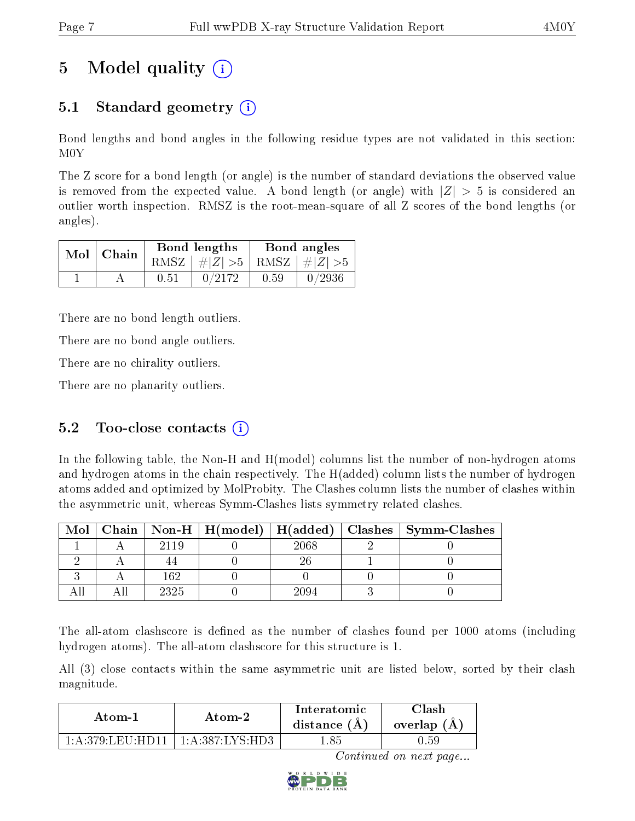# 5 Model quality  $(i)$

### 5.1 Standard geometry (i)

Bond lengths and bond angles in the following residue types are not validated in this section: M0Y

The Z score for a bond length (or angle) is the number of standard deviations the observed value is removed from the expected value. A bond length (or angle) with  $|Z| > 5$  is considered an outlier worth inspection. RMSZ is the root-mean-square of all Z scores of the bond lengths (or angles).

| $Mol$   Chain |      | Bond lengths                    | Bond angles |                        |  |
|---------------|------|---------------------------------|-------------|------------------------|--|
|               |      | RMSZ $ #Z  > 5$ RMSZ $ #Z  > 5$ |             |                        |  |
|               | 0.51 | 0/2172                          | 0.59        | $\left  0/2936\right $ |  |

There are no bond length outliers.

There are no bond angle outliers.

There are no chirality outliers.

There are no planarity outliers.

### 5.2 Too-close contacts  $(i)$

In the following table, the Non-H and H(model) columns list the number of non-hydrogen atoms and hydrogen atoms in the chain respectively. The H(added) column lists the number of hydrogen atoms added and optimized by MolProbity. The Clashes column lists the number of clashes within the asymmetric unit, whereas Symm-Clashes lists symmetry related clashes.

| Mol |      |      | Chain   Non-H   H(model)   H(added)   Clashes   Symm-Clashes |
|-----|------|------|--------------------------------------------------------------|
|     | 2119 | 2068 |                                                              |
|     |      |      |                                                              |
|     | 169  |      |                                                              |
|     | 2325 |      |                                                              |

The all-atom clashscore is defined as the number of clashes found per 1000 atoms (including hydrogen atoms). The all-atom clashscore for this structure is 1.

All (3) close contacts within the same asymmetric unit are listed below, sorted by their clash magnitude.

| Atom-1                | Atom-2                    |       | Clash<br>overlap $(A)$ |  |
|-----------------------|---------------------------|-------|------------------------|--|
| 1: A: 379: LETI: HDI1 | $^+$ 1:A:387:LYS:HD3 $^+$ | 1.85. | I).59                  |  |

Continued on next page...

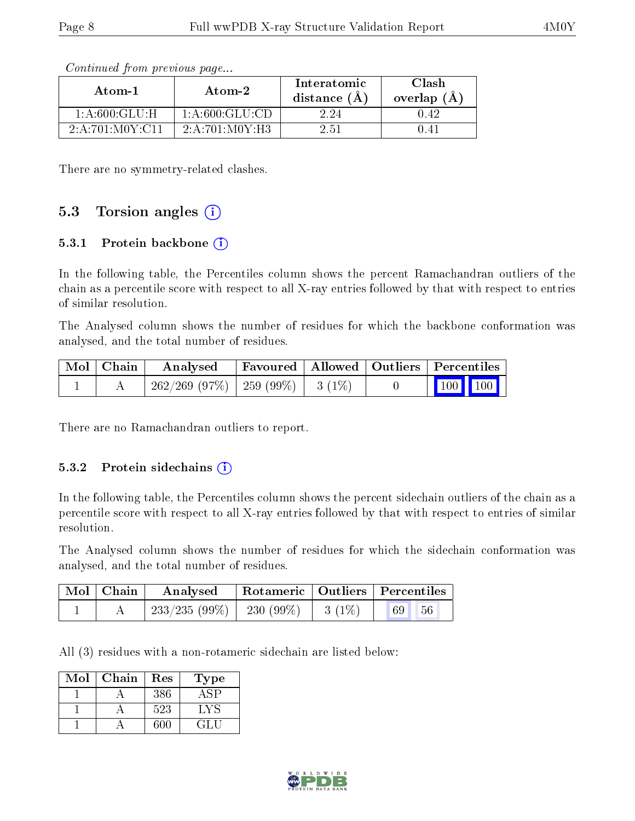| Atom-1             | $\boldsymbol{\mathrm{Atom}\text{-}2}$ | Interatomic<br>distance $(\AA)$ | Clash<br>overlap $(\AA)$ |  |
|--------------------|---------------------------------------|---------------------------------|--------------------------|--|
| 1: A:600: GLU: H   | 1: A:600: GLU:CD                      | 2.24                            | N 42                     |  |
| 2: A:701: MOY: C11 | 2:A:701:M0Y:H3                        | 2.51                            | 141                      |  |

Continued from previous page...

There are no symmetry-related clashes.

#### 5.3 Torsion angles  $(i)$

#### 5.3.1 Protein backbone  $(i)$

In the following table, the Percentiles column shows the percent Ramachandran outliers of the chain as a percentile score with respect to all X-ray entries followed by that with respect to entries of similar resolution.

The Analysed column shows the number of residues for which the backbone conformation was analysed, and the total number of residues.

| Mol   Chain | Analysed                                | Favoured   Allowed   Outliers   Percentiles |  |                         |
|-------------|-----------------------------------------|---------------------------------------------|--|-------------------------|
|             | $262/269$ (97\%)   259 (99\%)   3 (1\%) |                                             |  | $\vert$ 100 100 $\vert$ |

There are no Ramachandran outliers to report.

#### 5.3.2 Protein sidechains  $\left( \mathbf{i} \right)$

In the following table, the Percentiles column shows the percent sidechain outliers of the chain as a percentile score with respect to all X-ray entries followed by that with respect to entries of similar resolution.

The Analysed column shows the number of residues for which the sidechain conformation was analysed, and the total number of residues.

| Mol   Chain | Analysed                                |  | Rotameric   Outliers   Percentiles |  |
|-------------|-----------------------------------------|--|------------------------------------|--|
|             | $233/235 (99\%)$   230 (99\%)   3 (1\%) |  | <b>69</b><br>56                    |  |

All (3) residues with a non-rotameric sidechain are listed below:

| Mol | Chain | Res  | Type  |
|-----|-------|------|-------|
|     |       | 386  |       |
|     |       | 523  | +,Y≌  |
|     |       | 30 C | -21 - |

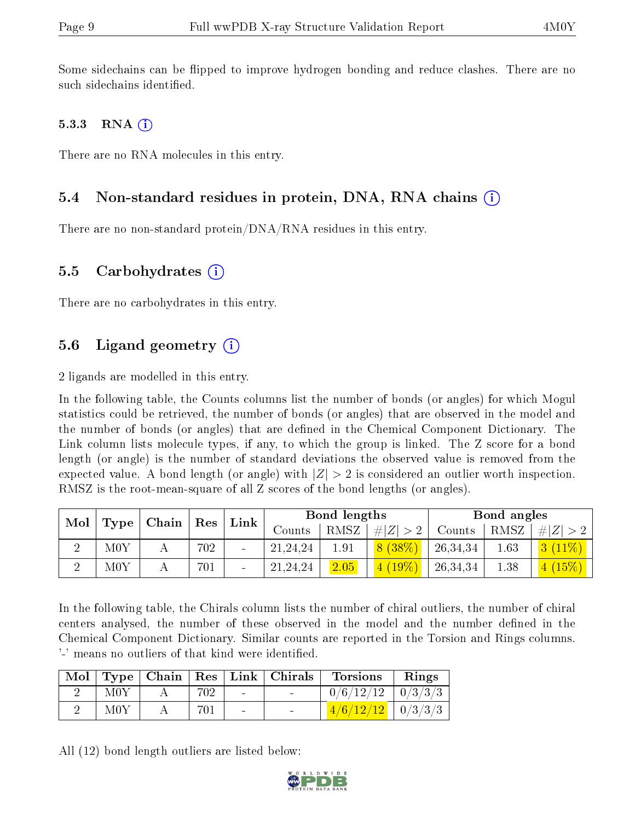Some sidechains can be flipped to improve hydrogen bonding and reduce clashes. There are no such sidechains identified.

#### 5.3.3 RNA  $(i)$

There are no RNA molecules in this entry.

#### 5.4 Non-standard residues in protein, DNA, RNA chains (i)

There are no non-standard protein/DNA/RNA residues in this entry.

#### 5.5 Carbohydrates  $(i)$

There are no carbohydrates in this entry.

### 5.6 Ligand geometry  $(i)$

2 ligands are modelled in this entry.

In the following table, the Counts columns list the number of bonds (or angles) for which Mogul statistics could be retrieved, the number of bonds (or angles) that are observed in the model and the number of bonds (or angles) that are dened in the Chemical Component Dictionary. The Link column lists molecule types, if any, to which the group is linked. The Z score for a bond length (or angle) is the number of standard deviations the observed value is removed from the expected value. A bond length (or angle) with  $|Z| > 2$  is considered an outlier worth inspection. RMSZ is the root-mean-square of all Z scores of the bond lengths (or angles).

| Mol |               |                                   |     | $\mathbf{Link}$ |            | Bond lengths |             |          | Bond angles |             |
|-----|---------------|-----------------------------------|-----|-----------------|------------|--------------|-------------|----------|-------------|-------------|
|     | $\mid$ Type   | $\vert$ Chain $\vert$ Res $\vert$ |     |                 | Counts     | RMSZ         | # $ Z  > 2$ | Counts   | RMSZ        | $\# Z  > 2$ |
|     | M0Y           |                                   | 702 |                 | 21, 24, 24 | 1.91         | 8(38%)      | 26,34,34 | 1.63        | $3(11\%)$   |
|     | $_{\rm{M0Y}}$ |                                   | 701 |                 | 21,24,24   | 2.05         | (4 (19%)    | 26,34,34 | 1.38        | (15%)       |

In the following table, the Chirals column lists the number of chiral outliers, the number of chiral centers analysed, the number of these observed in the model and the number defined in the Chemical Component Dictionary. Similar counts are reported in the Torsion and Rings columns. '-' means no outliers of that kind were identified.

|     |     |        | Mol   Type   Chain   Res   Link   Chirals | <b>Torsions</b>         | Rings |
|-----|-----|--------|-------------------------------------------|-------------------------|-------|
| M0Y | 702 | $\sim$ |                                           | $0/6/12/12$   $0/3/3/3$ |       |
| M0Y | 701 | $\sim$ |                                           | $1/6/12/12$   0/3/3/3   |       |

All (12) bond length outliers are listed below:

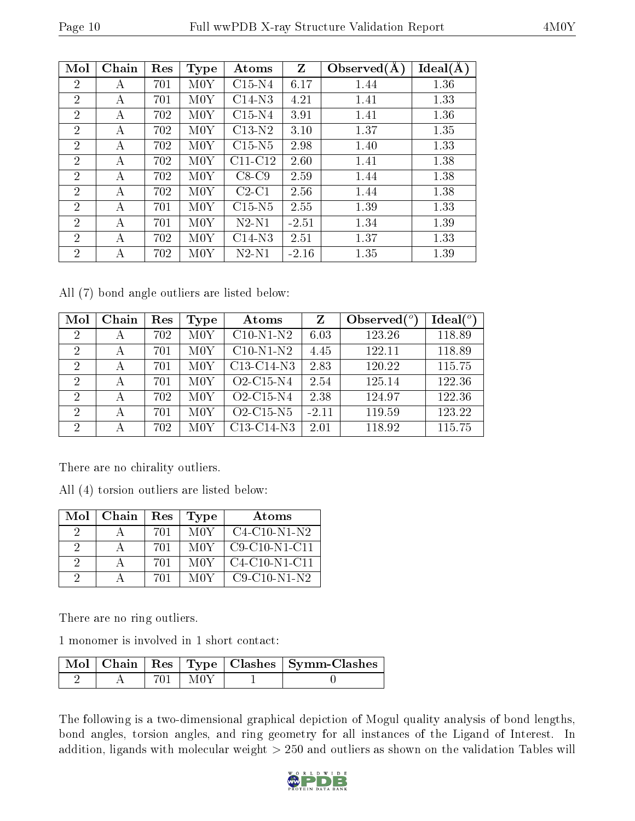| Mol            | Chain | Res | <b>Type</b>   | Atoms     | Z       | Observed $(A)$ | Ideal(A) |
|----------------|-------|-----|---------------|-----------|---------|----------------|----------|
| $\overline{2}$ | А     | 701 | $_{\rm{M0Y}}$ | $C15-N4$  | 6.17    | 1.44           | 1.36     |
| $\overline{2}$ | А     | 701 | M0Y           | $C14-N3$  | 4.21    | 1.41           | 1.33     |
| $\overline{2}$ | А     | 702 | M0Y           | $C15-N4$  | 3.91    | 1.41           | 1.36     |
| $\overline{2}$ | А     | 702 | $_{\rm{M0Y}}$ | $C13-N2$  | 3.10    | 1.37           | 1.35     |
| $\overline{2}$ | А     | 702 | M0Y           | $C15-N5$  | 2.98    | 1.40           | 1.33     |
| 2              | А     | 702 | M0Y           | $C11-C12$ | 2.60    | 1.41           | 1.38     |
| $\overline{2}$ | A     | 702 | M0Y           | $C8-C9$   | 2.59    | 1.44           | 1.38     |
| $\overline{2}$ | А     | 702 | M0Y           | $C2-C1$   | 2.56    | 1.44           | 1.38     |
| $\overline{2}$ | А     | 701 | M0Y           | $C15-N5$  | 2.55    | 1.39           | 1.33     |
| $\overline{2}$ | А     | 701 | $_{\rm{M0Y}}$ | $N2-N1$   | $-2.51$ | 1.34           | 1.39     |
| $\overline{2}$ | А     | 702 | M0Y           | $C14-N3$  | 2.51    | 1.37           | 1.33     |
| $\overline{2}$ | А     | 702 | M0Y           | $N2-N1$   | $-2.16$ | 1.35           | 1.39     |

All (7) bond angle outliers are listed below:

| Mol                         | Chain | Res | Type | Atoms                                            | Z       | Observed $(°)$ | Ideal $(°)$ |
|-----------------------------|-------|-----|------|--------------------------------------------------|---------|----------------|-------------|
| 2                           | А     | 702 | M0Y  | $C10-N1-N2$                                      | 6.03    | 123.26         | 118.89      |
| 2                           | А     | 701 | M0Y  | $C10-N1-N2$                                      | 4.45    | 122.11         | 118.89      |
| $\overline{2}$              | А     | 701 | M0Y  | C <sub>13</sub> -C <sub>14</sub> -N <sub>3</sub> | 2.83    | 120.22         | 115.75      |
| 2                           | А     | 701 | M0Y  | O <sub>2</sub> -C <sub>15</sub> -N <sub>4</sub>  | 2.54    | 125.14         | 122.36      |
| $\mathcal{D}_{\mathcal{A}}$ |       | 702 | M0Y  | O <sub>2</sub> -C <sub>15</sub> -N <sub>4</sub>  | 2.38    | 124.97         | 122.36      |
| 2                           | А     | 701 | M0Y  | O2-C15-N5                                        | $-2.11$ | 119.59         | 123.22      |
| 2                           | А     | 702 | M0Y  | C13-C14-N3                                       | 2.01    | 118.92         | 115.75      |

There are no chirality outliers.

All (4) torsion outliers are listed below:

| Mol      | Chain | Res | Type | Atoms           |
|----------|-------|-----|------|-----------------|
| 9        |       | 701 | M0Y  | $C4-C10-N1-N2$  |
| 9        |       | 701 | M0Y  | $C9-C10-N1-C11$ |
| -9       |       | 701 | M0Y  | $C4-C10-N1-C11$ |
| $\Omega$ |       | 701 | M0Y  | $C9-C10-N1-N2$  |

There are no ring outliers.

1 monomer is involved in 1 short contact:

|  |       | Mol   Chain   Res   Type   Clashes   Symm-Clashes |
|--|-------|---------------------------------------------------|
|  | -M0 Y |                                                   |

The following is a two-dimensional graphical depiction of Mogul quality analysis of bond lengths, bond angles, torsion angles, and ring geometry for all instances of the Ligand of Interest. In addition, ligands with molecular weight  $> 250$  and outliers as shown on the validation Tables will

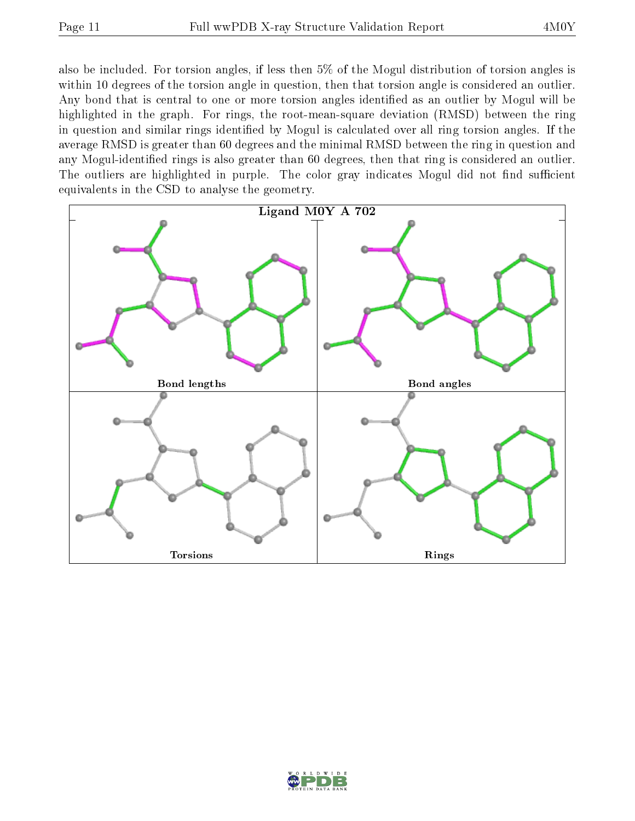also be included. For torsion angles, if less then 5% of the Mogul distribution of torsion angles is within 10 degrees of the torsion angle in question, then that torsion angle is considered an outlier. Any bond that is central to one or more torsion angles identified as an outlier by Mogul will be highlighted in the graph. For rings, the root-mean-square deviation (RMSD) between the ring in question and similar rings identified by Mogul is calculated over all ring torsion angles. If the average RMSD is greater than 60 degrees and the minimal RMSD between the ring in question and any Mogul-identified rings is also greater than 60 degrees, then that ring is considered an outlier. The outliers are highlighted in purple. The color gray indicates Mogul did not find sufficient equivalents in the CSD to analyse the geometry.



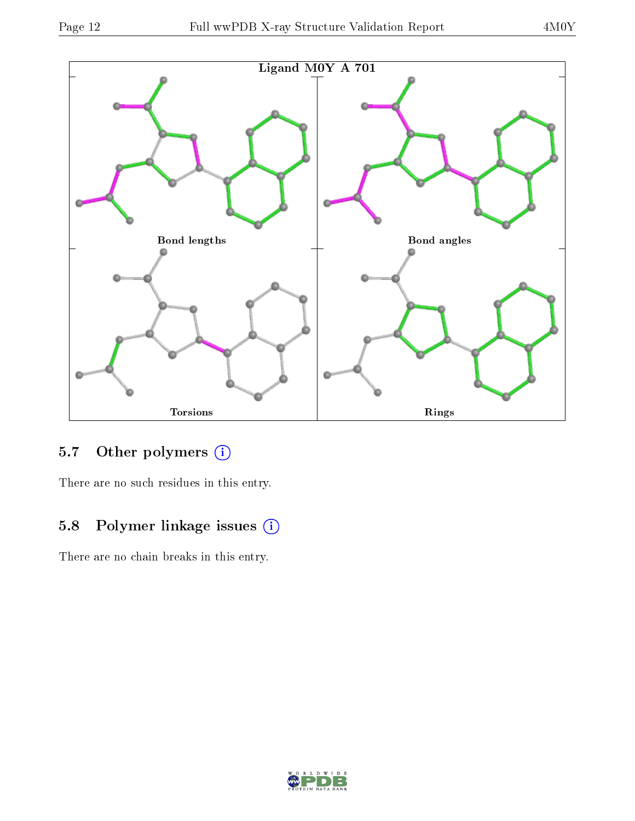

### 5.7 [O](https://www.wwpdb.org/validation/2017/XrayValidationReportHelp#nonstandard_residues_and_ligands)ther polymers (i)

There are no such residues in this entry.

### 5.8 Polymer linkage issues (i)

There are no chain breaks in this entry.

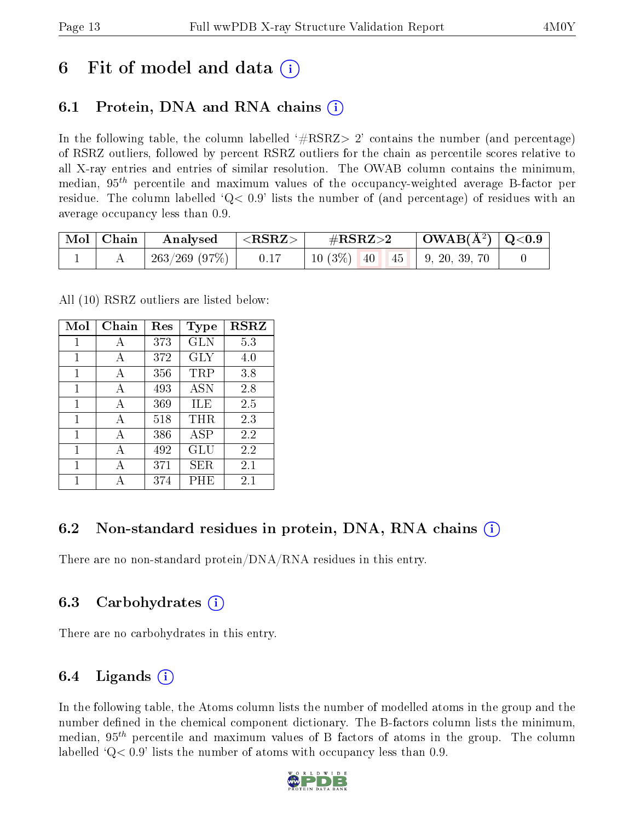## 6 Fit of model and data  $\left( \cdot \right)$

### 6.1 Protein, DNA and RNA chains (i)

In the following table, the column labelled  $#RSRZ>2'$  contains the number (and percentage) of RSRZ outliers, followed by percent RSRZ outliers for the chain as percentile scores relative to all X-ray entries and entries of similar resolution. The OWAB column contains the minimum, median,  $95<sup>th</sup>$  percentile and maximum values of the occupancy-weighted average B-factor per residue. The column labelled  $Q< 0.9$  lists the number of (and percentage) of residues with an average occupancy less than 0.9.

| $\mid$ Mol $\mid$ Chain | Analysed                    | $ \langle \mathrm{RSRZ}\rangle $ | $\#\text{RSRZ}\text{>2}$               | $\mid$ OWAB(Å <sup>2</sup> ) $\mid$ Q<0.9 $\mid$ |  |
|-------------------------|-----------------------------|----------------------------------|----------------------------------------|--------------------------------------------------|--|
|                         | $\mid$ 263/269 (97%) $\mid$ | 0.17                             | $10(3\%)$ $40\quad 45$   9, 20, 39, 70 |                                                  |  |

All (10) RSRZ outliers are listed below:

| Mol          | Chain | Res | <b>Type</b> | <b>RSRZ</b> |  |
|--------------|-------|-----|-------------|-------------|--|
| 1            | А     | 373 | GLN         | 5.3         |  |
| $\mathbf{1}$ | A     | 372 | GLY         | 4.0         |  |
| 1            | A     | 356 | TRP         | 3.8         |  |
| 1            | A     | 493 | <b>ASN</b>  | 2.8         |  |
| 1            | А     | 369 | ILE         | 2.5         |  |
| 1            | A     | 518 | THR         | 2.3         |  |
| 1            | A     | 386 | <b>ASP</b>  | 2.2         |  |
| 1            | A     | 492 | GLU         | 2.2         |  |
| 1            | А     | 371 | SER.        | 2.1         |  |
| 1            |       | 374 | PHE         | 2.1         |  |

### 6.2 Non-standard residues in protein, DNA, RNA chains (i)

There are no non-standard protein/DNA/RNA residues in this entry.

### 6.3 Carbohydrates (i)

There are no carbohydrates in this entry.

### 6.4 Ligands  $(i)$

In the following table, the Atoms column lists the number of modelled atoms in the group and the number defined in the chemical component dictionary. The B-factors column lists the minimum, median,  $95<sup>th</sup>$  percentile and maximum values of B factors of atoms in the group. The column labelled  $Q< 0.9$ ' lists the number of atoms with occupancy less than 0.9.

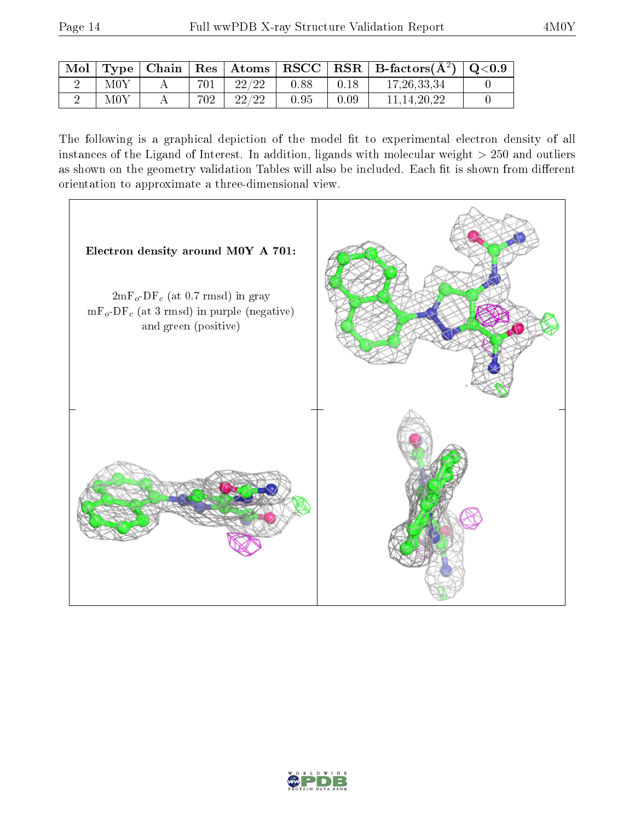|               |     |       |      |      | Mol   Type   Chain   Res   Atoms   RSCC   RSR   B-factors $(A^2)$   Q<0.9 |  |
|---------------|-----|-------|------|------|---------------------------------------------------------------------------|--|
| M0Y           | 701 | 22/22 | 0.88 | 0.18 | 17.26.33.34                                                               |  |
| $_{\rm{M0Y}}$ | 702 | 22/22 | 0.95 | 0.09 | 11.14.20.22                                                               |  |

The following is a graphical depiction of the model fit to experimental electron density of all instances of the Ligand of Interest. In addition, ligands with molecular weight  $> 250$  and outliers as shown on the geometry validation Tables will also be included. Each fit is shown from different orientation to approximate a three-dimensional view.